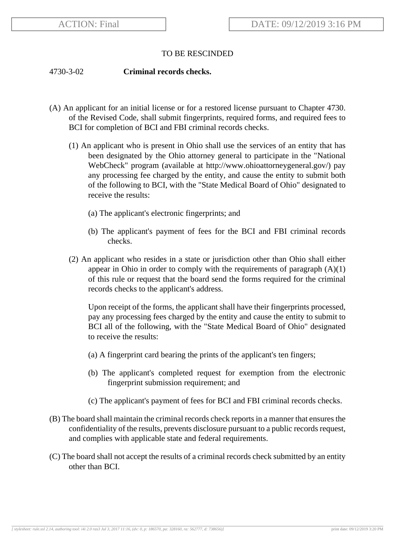## TO BE RESCINDED

## 4730-3-02 **Criminal records checks.**

- (A) An applicant for an initial license or for a restored license pursuant to Chapter 4730. of the Revised Code, shall submit fingerprints, required forms, and required fees to BCI for completion of BCI and FBI criminal records checks.
	- (1) An applicant who is present in Ohio shall use the services of an entity that has been designated by the Ohio attorney general to participate in the "National WebCheck" program (available at http://www.ohioattorneygeneral.gov/) pay any processing fee charged by the entity, and cause the entity to submit both of the following to BCI, with the "State Medical Board of Ohio" designated to receive the results:
		- (a) The applicant's electronic fingerprints; and
		- (b) The applicant's payment of fees for the BCI and FBI criminal records checks.
	- (2) An applicant who resides in a state or jurisdiction other than Ohio shall either appear in Ohio in order to comply with the requirements of paragraph  $(A)(1)$ of this rule or request that the board send the forms required for the criminal records checks to the applicant's address.

Upon receipt of the forms, the applicant shall have their fingerprints processed, pay any processing fees charged by the entity and cause the entity to submit to BCI all of the following, with the "State Medical Board of Ohio" designated to receive the results:

- (a) A fingerprint card bearing the prints of the applicant's ten fingers;
- (b) The applicant's completed request for exemption from the electronic fingerprint submission requirement; and
- (c) The applicant's payment of fees for BCI and FBI criminal records checks.
- (B) The board shall maintain the criminal records check reports in a manner that ensures the confidentiality of the results, prevents disclosure pursuant to a public records request, and complies with applicable state and federal requirements.
- (C) The board shall not accept the results of a criminal records check submitted by an entity other than BCI.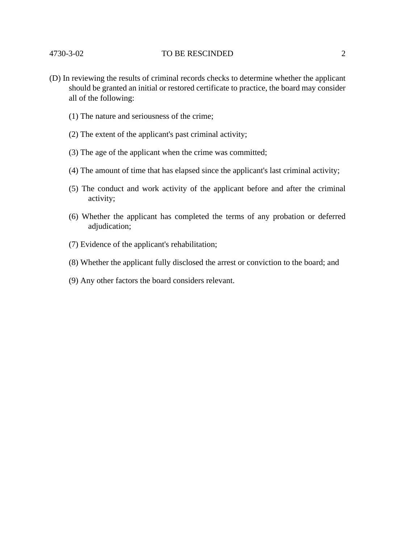## 4730-3-02 TO BE RESCINDED 2

- (D) In reviewing the results of criminal records checks to determine whether the applicant should be granted an initial or restored certificate to practice, the board may consider all of the following:
	- (1) The nature and seriousness of the crime;
	- (2) The extent of the applicant's past criminal activity;
	- (3) The age of the applicant when the crime was committed;
	- (4) The amount of time that has elapsed since the applicant's last criminal activity;
	- (5) The conduct and work activity of the applicant before and after the criminal activity;
	- (6) Whether the applicant has completed the terms of any probation or deferred adjudication;
	- (7) Evidence of the applicant's rehabilitation;
	- (8) Whether the applicant fully disclosed the arrest or conviction to the board; and
	- (9) Any other factors the board considers relevant.